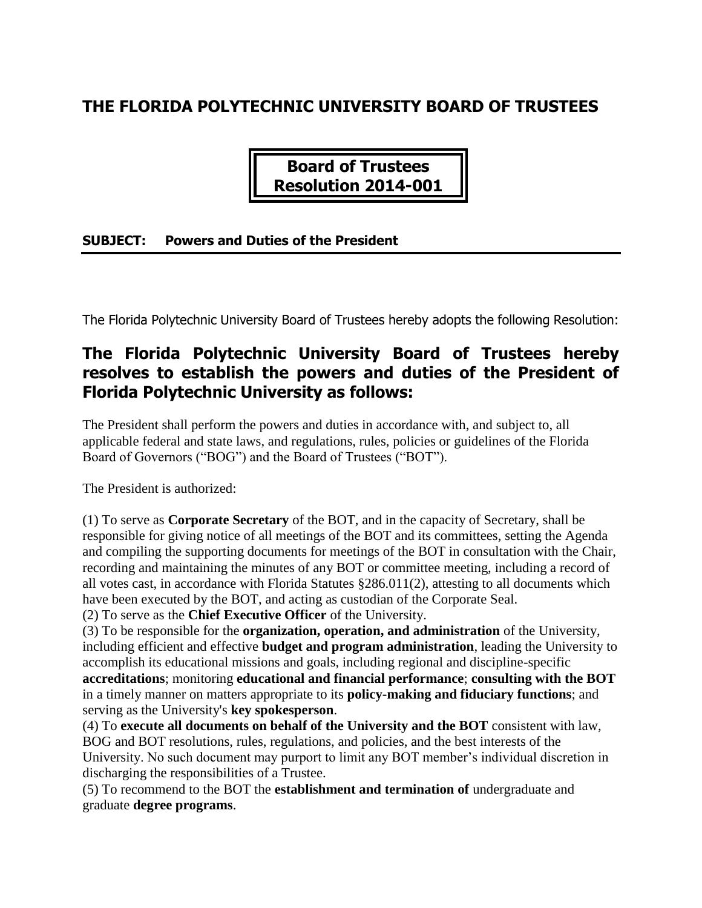# **THE FLORIDA POLYTECHNIC UNIVERSITY BOARD OF TRUSTEES**

**Board of Trustees Resolution 2014-001**

### **SUBJECT: Powers and Duties of the President**

The Florida Polytechnic University Board of Trustees hereby adopts the following Resolution:

## **The Florida Polytechnic University Board of Trustees hereby resolves to establish the powers and duties of the President of Florida Polytechnic University as follows:**

The President shall perform the powers and duties in accordance with, and subject to, all applicable federal and state laws, and regulations, rules, policies or guidelines of the Florida Board of Governors ("BOG") and the Board of Trustees ("BOT").

The President is authorized:

(1) To serve as **Corporate Secretary** of the BOT, and in the capacity of Secretary, shall be responsible for giving notice of all meetings of the BOT and its committees, setting the Agenda and compiling the supporting documents for meetings of the BOT in consultation with the Chair, recording and maintaining the minutes of any BOT or committee meeting, including a record of all votes cast, in accordance with Florida Statutes §286.011(2), attesting to all documents which have been executed by the BOT, and acting as custodian of the Corporate Seal.

(2) To serve as the **Chief Executive Officer** of the University.

(3) To be responsible for the **organization, operation, and administration** of the University, including efficient and effective **budget and program administration**, leading the University to accomplish its educational missions and goals, including regional and discipline-specific **accreditations**; monitoring **educational and financial performance**; **consulting with the BOT** in a timely manner on matters appropriate to its **policy-making and fiduciary functions**; and serving as the University's **key spokesperson**.

(4) To **execute all documents on behalf of the University and the BOT** consistent with law, BOG and BOT resolutions, rules, regulations, and policies, and the best interests of the University. No such document may purport to limit any BOT member's individual discretion in discharging the responsibilities of a Trustee.

(5) To recommend to the BOT the **establishment and termination of** undergraduate and graduate **degree programs**.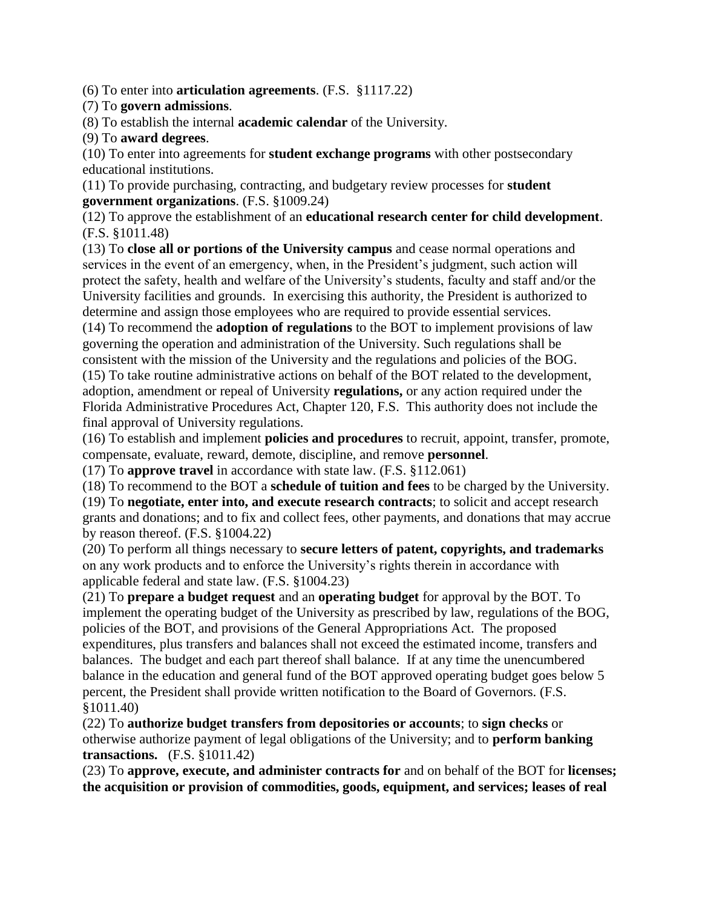(6) To enter into **articulation agreements**. (F.S. §1117.22)

### (7) To **govern admissions**.

(8) To establish the internal **academic calendar** of the University.

#### (9) To **award degrees**.

(10) To enter into agreements for **student exchange programs** with other postsecondary educational institutions.

(11) To provide purchasing, contracting, and budgetary review processes for **student government organizations**. (F.S. §1009.24)

(12) To approve the establishment of an **educational research center for child development**. (F.S. §1011.48)

(13) To **close all or portions of the University campus** and cease normal operations and services in the event of an emergency, when, in the President's judgment, such action will protect the safety, health and welfare of the University's students, faculty and staff and/or the University facilities and grounds. In exercising this authority, the President is authorized to determine and assign those employees who are required to provide essential services.

(14) To recommend the **adoption of regulations** to the BOT to implement provisions of law governing the operation and administration of the University. Such regulations shall be consistent with the mission of the University and the regulations and policies of the BOG.

(15) To take routine administrative actions on behalf of the BOT related to the development, adoption, amendment or repeal of University **regulations,** or any action required under the Florida Administrative Procedures Act, Chapter 120, F.S. This authority does not include the final approval of University regulations.

(16) To establish and implement **policies and procedures** to recruit, appoint, transfer, promote, compensate, evaluate, reward, demote, discipline, and remove **personnel**.

(17) To **approve travel** in accordance with state law. (F.S. §112.061)

(18) To recommend to the BOT a **schedule of tuition and fees** to be charged by the University.

(19) To **negotiate, enter into, and execute research contracts**; to solicit and accept research grants and donations; and to fix and collect fees, other payments, and donations that may accrue by reason thereof. (F.S. §1004.22)

(20) To perform all things necessary to **secure letters of patent, copyrights, and trademarks** on any work products and to enforce the University's rights therein in accordance with applicable federal and state law. (F.S. §1004.23)

(21) To **prepare a budget request** and an **operating budget** for approval by the BOT. To implement the operating budget of the University as prescribed by law, regulations of the BOG, policies of the BOT, and provisions of the General Appropriations Act. The proposed expenditures, plus transfers and balances shall not exceed the estimated income, transfers and balances. The budget and each part thereof shall balance. If at any time the unencumbered balance in the education and general fund of the BOT approved operating budget goes below 5 percent, the President shall provide written notification to the Board of Governors. (F.S. §1011.40)

(22) To **authorize budget transfers from depositories or accounts**; to **sign checks** or otherwise authorize payment of legal obligations of the University; and to **perform banking transactions.** (F.S. §1011.42)

(23) To **approve, execute, and administer contracts for** and on behalf of the BOT for **licenses; the acquisition or provision of commodities, goods, equipment, and services; leases of real**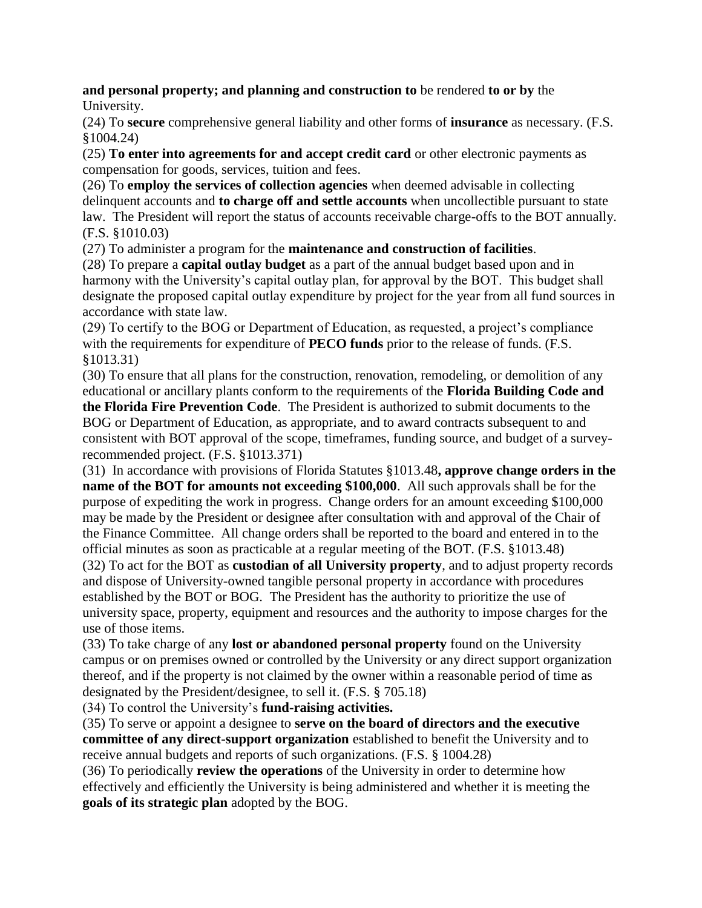**and personal property; and planning and construction to** be rendered **to or by** the University.

(24) To **secure** comprehensive general liability and other forms of **insurance** as necessary. (F.S. §1004.24)

(25) **To enter into agreements for and accept credit card** or other electronic payments as compensation for goods, services, tuition and fees.

(26) To **employ the services of collection agencies** when deemed advisable in collecting delinquent accounts and **to charge off and settle accounts** when uncollectible pursuant to state law. The President will report the status of accounts receivable charge-offs to the BOT annually. (F.S. §1010.03)

(27) To administer a program for the **maintenance and construction of facilities**.

(28) To prepare a **capital outlay budget** as a part of the annual budget based upon and in harmony with the University's capital outlay plan, for approval by the BOT. This budget shall designate the proposed capital outlay expenditure by project for the year from all fund sources in accordance with state law.

(29) To certify to the BOG or Department of Education, as requested, a project's compliance with the requirements for expenditure of **PECO funds** prior to the release of funds. (F.S. §1013.31)

(30) To ensure that all plans for the construction, renovation, remodeling, or demolition of any educational or ancillary plants conform to the requirements of the **Florida Building Code and** 

**the Florida Fire Prevention Code**. The President is authorized to submit documents to the BOG or Department of Education, as appropriate, and to award contracts subsequent to and consistent with BOT approval of the scope, timeframes, funding source, and budget of a surveyrecommended project. (F.S. §1013.371)

(31) In accordance with provisions of Florida Statutes §1013.48**, approve change orders in the name of the BOT for amounts not exceeding \$100,000**. All such approvals shall be for the purpose of expediting the work in progress. Change orders for an amount exceeding \$100,000 may be made by the President or designee after consultation with and approval of the Chair of the Finance Committee. All change orders shall be reported to the board and entered in to the official minutes as soon as practicable at a regular meeting of the BOT. (F.S. §1013.48) (32) To act for the BOT as **custodian of all University property**, and to adjust property records and dispose of University-owned tangible personal property in accordance with procedures established by the BOT or BOG. The President has the authority to prioritize the use of university space, property, equipment and resources and the authority to impose charges for the use of those items.

(33) To take charge of any **lost or abandoned personal property** found on the University campus or on premises owned or controlled by the University or any direct support organization thereof, and if the property is not claimed by the owner within a reasonable period of time as designated by the President/designee, to sell it. (F.S. § 705.18)

(34) To control the University's **fund-raising activities.**

(35) To serve or appoint a designee to **serve on the board of directors and the executive committee of any direct-support organization** established to benefit the University and to receive annual budgets and reports of such organizations. (F.S. § 1004.28)

(36) To periodically **review the operations** of the University in order to determine how effectively and efficiently the University is being administered and whether it is meeting the **goals of its strategic plan** adopted by the BOG.